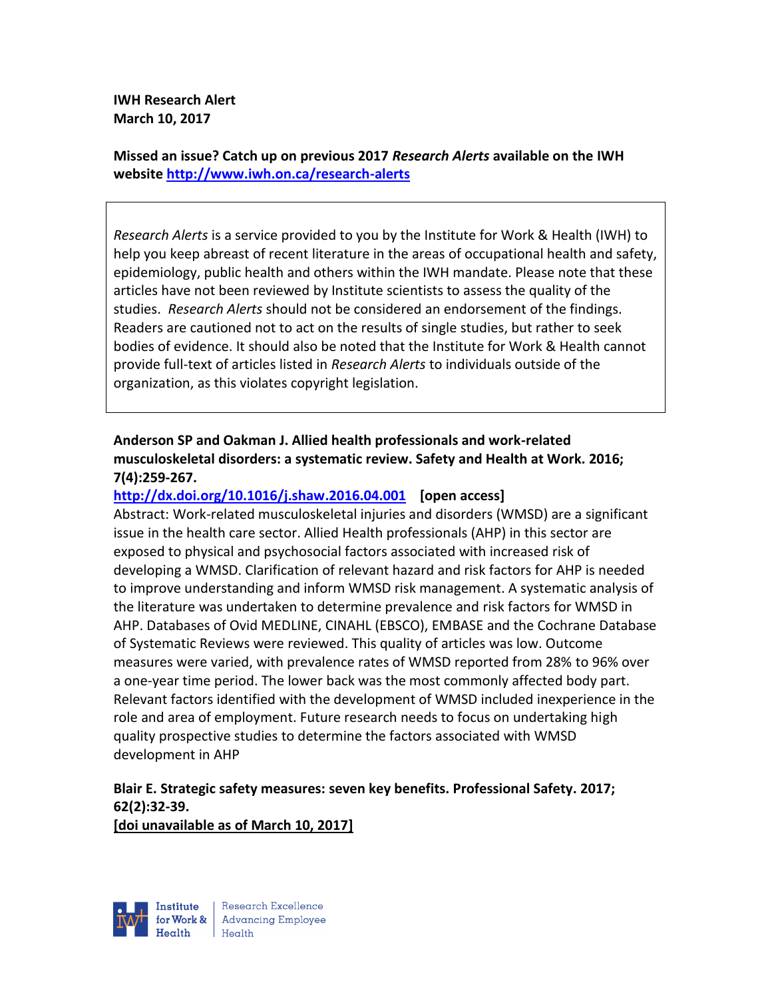**IWH Research Alert March 10, 2017**

**Missed an issue? Catch up on previous 2017** *Research Alerts* **available on the [IWH](http://www.iwh.on.ca/research-alerts)  [website](http://www.iwh.on.ca/research-alerts) <http://www.iwh.on.ca/research-alerts>**

*Research Alerts* is a service provided to you by the Institute for Work & Health (IWH) to help you keep abreast of recent literature in the areas of occupational health and safety, epidemiology, public health and others within the IWH mandate. Please note that these articles have not been reviewed by Institute scientists to assess the quality of the studies. *Research Alerts* should not be considered an endorsement of the findings. Readers are cautioned not to act on the results of single studies, but rather to seek bodies of evidence. It should also be noted that the Institute for Work & Health cannot provide full-text of articles listed in *Research Alerts* to individuals outside of the organization, as this violates copyright legislation.

# **Anderson SP and Oakman J. Allied health professionals and work-related musculoskeletal disorders: a systematic review. Safety and Health at Work. 2016; 7(4):259-267.**

### **<http://dx.doi.org/10.1016/j.shaw.2016.04.001>[open access]**

Abstract: Work-related musculoskeletal injuries and disorders (WMSD) are a significant issue in the health care sector. Allied Health professionals (AHP) in this sector are exposed to physical and psychosocial factors associated with increased risk of developing a WMSD. Clarification of relevant hazard and risk factors for AHP is needed to improve understanding and inform WMSD risk management. A systematic analysis of the literature was undertaken to determine prevalence and risk factors for WMSD in AHP. Databases of Ovid MEDLINE, CINAHL (EBSCO), EMBASE and the Cochrane Database of Systematic Reviews were reviewed. This quality of articles was low. Outcome measures were varied, with prevalence rates of WMSD reported from 28% to 96% over a one-year time period. The lower back was the most commonly affected body part. Relevant factors identified with the development of WMSD included inexperience in the role and area of employment. Future research needs to focus on undertaking high quality prospective studies to determine the factors associated with WMSD development in AHP

# **Blair E. Strategic safety measures: seven key benefits. Professional Safety. 2017; 62(2):32-39.**

**[doi unavailable as of March 10, 2017]**

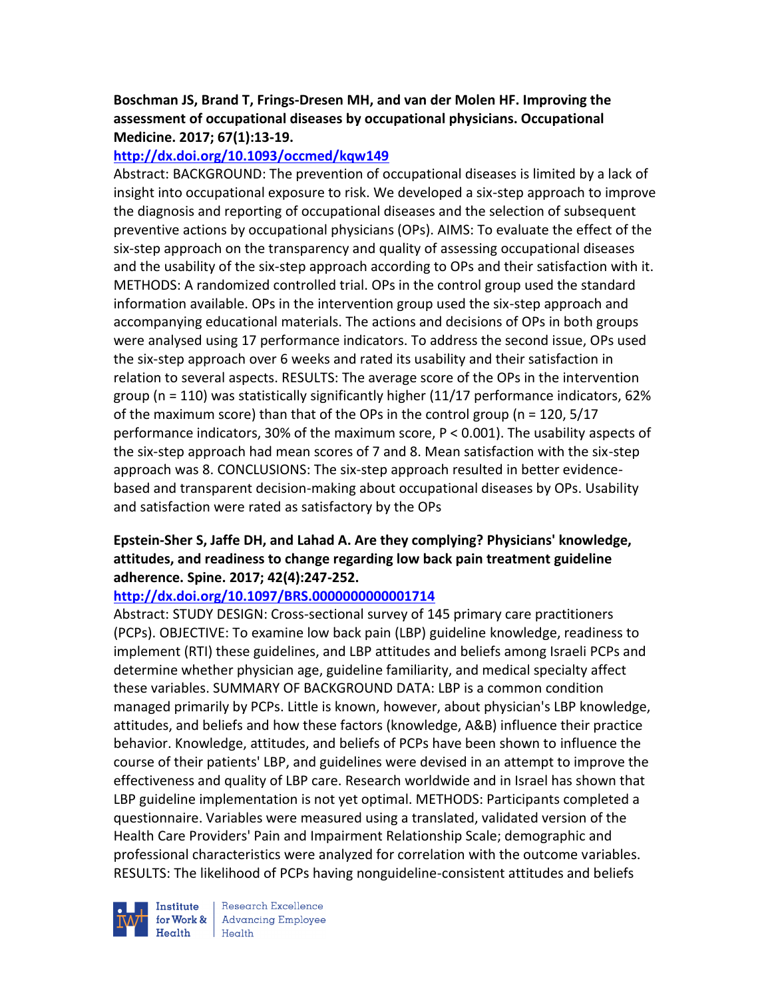# **Boschman JS, Brand T, Frings-Dresen MH, and van der Molen HF. Improving the assessment of occupational diseases by occupational physicians. Occupational Medicine. 2017; 67(1):13-19.**

### **<http://dx.doi.org/10.1093/occmed/kqw149>**

Abstract: BACKGROUND: The prevention of occupational diseases is limited by a lack of insight into occupational exposure to risk. We developed a six-step approach to improve the diagnosis and reporting of occupational diseases and the selection of subsequent preventive actions by occupational physicians (OPs). AIMS: To evaluate the effect of the six-step approach on the transparency and quality of assessing occupational diseases and the usability of the six-step approach according to OPs and their satisfaction with it. METHODS: A randomized controlled trial. OPs in the control group used the standard information available. OPs in the intervention group used the six-step approach and accompanying educational materials. The actions and decisions of OPs in both groups were analysed using 17 performance indicators. To address the second issue, OPs used the six-step approach over 6 weeks and rated its usability and their satisfaction in relation to several aspects. RESULTS: The average score of the OPs in the intervention group ( $n = 110$ ) was statistically significantly higher (11/17 performance indicators, 62% of the maximum score) than that of the OPs in the control group (n = 120, 5/17 performance indicators, 30% of the maximum score, P < 0.001). The usability aspects of the six-step approach had mean scores of 7 and 8. Mean satisfaction with the six-step approach was 8. CONCLUSIONS: The six-step approach resulted in better evidencebased and transparent decision-making about occupational diseases by OPs. Usability and satisfaction were rated as satisfactory by the OPs

# **Epstein-Sher S, Jaffe DH, and Lahad A. Are they complying? Physicians' knowledge, attitudes, and readiness to change regarding low back pain treatment guideline adherence. Spine. 2017; 42(4):247-252.**

### **<http://dx.doi.org/10.1097/BRS.0000000000001714>**

Abstract: STUDY DESIGN: Cross-sectional survey of 145 primary care practitioners (PCPs). OBJECTIVE: To examine low back pain (LBP) guideline knowledge, readiness to implement (RTI) these guidelines, and LBP attitudes and beliefs among Israeli PCPs and determine whether physician age, guideline familiarity, and medical specialty affect these variables. SUMMARY OF BACKGROUND DATA: LBP is a common condition managed primarily by PCPs. Little is known, however, about physician's LBP knowledge, attitudes, and beliefs and how these factors (knowledge, A&B) influence their practice behavior. Knowledge, attitudes, and beliefs of PCPs have been shown to influence the course of their patients' LBP, and guidelines were devised in an attempt to improve the effectiveness and quality of LBP care. Research worldwide and in Israel has shown that LBP guideline implementation is not yet optimal. METHODS: Participants completed a questionnaire. Variables were measured using a translated, validated version of the Health Care Providers' Pain and Impairment Relationship Scale; demographic and professional characteristics were analyzed for correlation with the outcome variables. RESULTS: The likelihood of PCPs having nonguideline-consistent attitudes and beliefs

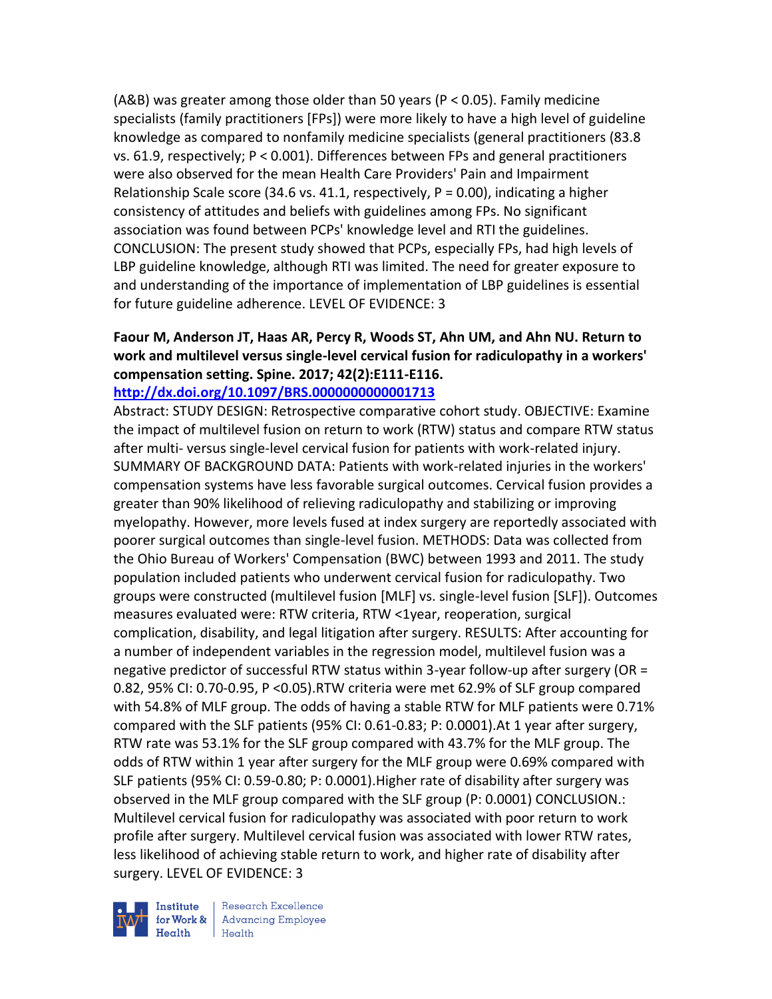(A&B) was greater among those older than 50 years (P < 0.05). Family medicine specialists (family practitioners [FPs]) were more likely to have a high level of guideline knowledge as compared to nonfamily medicine specialists (general practitioners (83.8 vs. 61.9, respectively; P < 0.001). Differences between FPs and general practitioners were also observed for the mean Health Care Providers' Pain and Impairment Relationship Scale score (34.6 vs. 41.1, respectively,  $P = 0.00$ ), indicating a higher consistency of attitudes and beliefs with guidelines among FPs. No significant association was found between PCPs' knowledge level and RTI the guidelines. CONCLUSION: The present study showed that PCPs, especially FPs, had high levels of LBP guideline knowledge, although RTI was limited. The need for greater exposure to and understanding of the importance of implementation of LBP guidelines is essential for future guideline adherence. LEVEL OF EVIDENCE: 3

### **Faour M, Anderson JT, Haas AR, Percy R, Woods ST, Ahn UM, and Ahn NU. Return to work and multilevel versus single-level cervical fusion for radiculopathy in a workers' compensation setting. Spine. 2017; 42(2):E111-E116. <http://dx.doi.org/10.1097/BRS.0000000000001713>**

Abstract: STUDY DESIGN: Retrospective comparative cohort study. OBJECTIVE: Examine the impact of multilevel fusion on return to work (RTW) status and compare RTW status after multi- versus single-level cervical fusion for patients with work-related injury. SUMMARY OF BACKGROUND DATA: Patients with work-related injuries in the workers' compensation systems have less favorable surgical outcomes. Cervical fusion provides a greater than 90% likelihood of relieving radiculopathy and stabilizing or improving myelopathy. However, more levels fused at index surgery are reportedly associated with poorer surgical outcomes than single-level fusion. METHODS: Data was collected from the Ohio Bureau of Workers' Compensation (BWC) between 1993 and 2011. The study population included patients who underwent cervical fusion for radiculopathy. Two groups were constructed (multilevel fusion [MLF] vs. single-level fusion [SLF]). Outcomes measures evaluated were: RTW criteria, RTW <1year, reoperation, surgical complication, disability, and legal litigation after surgery. RESULTS: After accounting for a number of independent variables in the regression model, multilevel fusion was a negative predictor of successful RTW status within 3-year follow-up after surgery (OR = 0.82, 95% CI: 0.70-0.95, P <0.05).RTW criteria were met 62.9% of SLF group compared with 54.8% of MLF group. The odds of having a stable RTW for MLF patients were 0.71% compared with the SLF patients (95% CI: 0.61-0.83; P: 0.0001).At 1 year after surgery, RTW rate was 53.1% for the SLF group compared with 43.7% for the MLF group. The odds of RTW within 1 year after surgery for the MLF group were 0.69% compared with SLF patients (95% CI: 0.59-0.80; P: 0.0001).Higher rate of disability after surgery was observed in the MLF group compared with the SLF group (P: 0.0001) CONCLUSION.: Multilevel cervical fusion for radiculopathy was associated with poor return to work profile after surgery. Multilevel cervical fusion was associated with lower RTW rates, less likelihood of achieving stable return to work, and higher rate of disability after surgery. LEVEL OF EVIDENCE: 3

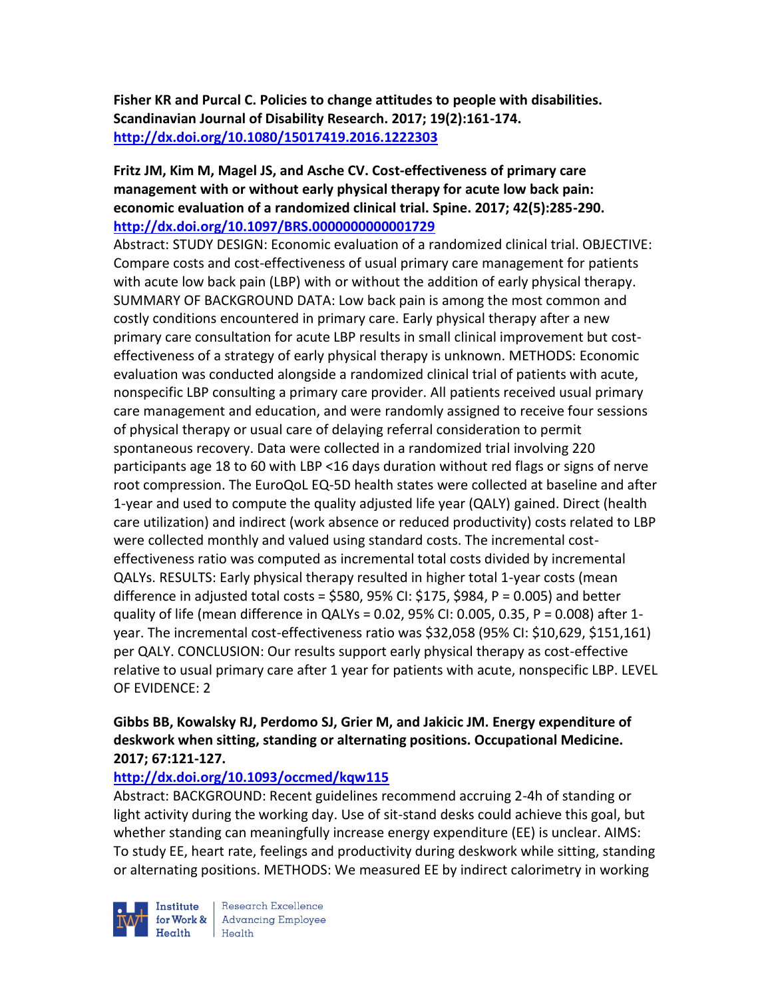**Fisher KR and Purcal C. Policies to change attitudes to people with disabilities. Scandinavian Journal of Disability Research. 2017; 19(2):161-174. <http://dx.doi.org/10.1080/15017419.2016.1222303>**

# **Fritz JM, Kim M, Magel JS, and Asche CV. Cost-effectiveness of primary care management with or without early physical therapy for acute low back pain: economic evaluation of a randomized clinical trial. Spine. 2017; 42(5):285-290. <http://dx.doi.org/10.1097/BRS.0000000000001729>**

Abstract: STUDY DESIGN: Economic evaluation of a randomized clinical trial. OBJECTIVE: Compare costs and cost-effectiveness of usual primary care management for patients with acute low back pain (LBP) with or without the addition of early physical therapy. SUMMARY OF BACKGROUND DATA: Low back pain is among the most common and costly conditions encountered in primary care. Early physical therapy after a new primary care consultation for acute LBP results in small clinical improvement but costeffectiveness of a strategy of early physical therapy is unknown. METHODS: Economic evaluation was conducted alongside a randomized clinical trial of patients with acute, nonspecific LBP consulting a primary care provider. All patients received usual primary care management and education, and were randomly assigned to receive four sessions of physical therapy or usual care of delaying referral consideration to permit spontaneous recovery. Data were collected in a randomized trial involving 220 participants age 18 to 60 with LBP <16 days duration without red flags or signs of nerve root compression. The EuroQoL EQ-5D health states were collected at baseline and after 1-year and used to compute the quality adjusted life year (QALY) gained. Direct (health care utilization) and indirect (work absence or reduced productivity) costs related to LBP were collected monthly and valued using standard costs. The incremental costeffectiveness ratio was computed as incremental total costs divided by incremental QALYs. RESULTS: Early physical therapy resulted in higher total 1-year costs (mean difference in adjusted total costs =  $$580, 95\%$  CI:  $$175, $984, P = 0.005$ ) and better quality of life (mean difference in QALYs = 0.02, 95% CI: 0.005, 0.35, P = 0.008) after 1 year. The incremental cost-effectiveness ratio was \$32,058 (95% CI: \$10,629, \$151,161) per QALY. CONCLUSION: Our results support early physical therapy as cost-effective relative to usual primary care after 1 year for patients with acute, nonspecific LBP. LEVEL OF EVIDENCE: 2

# **Gibbs BB, Kowalsky RJ, Perdomo SJ, Grier M, and Jakicic JM. Energy expenditure of deskwork when sitting, standing or alternating positions. Occupational Medicine. 2017; 67:121-127.**

# **<http://dx.doi.org/10.1093/occmed/kqw115>**

Abstract: BACKGROUND: Recent guidelines recommend accruing 2-4h of standing or light activity during the working day. Use of sit-stand desks could achieve this goal, but whether standing can meaningfully increase energy expenditure (EE) is unclear. AIMS: To study EE, heart rate, feelings and productivity during deskwork while sitting, standing or alternating positions. METHODS: We measured EE by indirect calorimetry in working

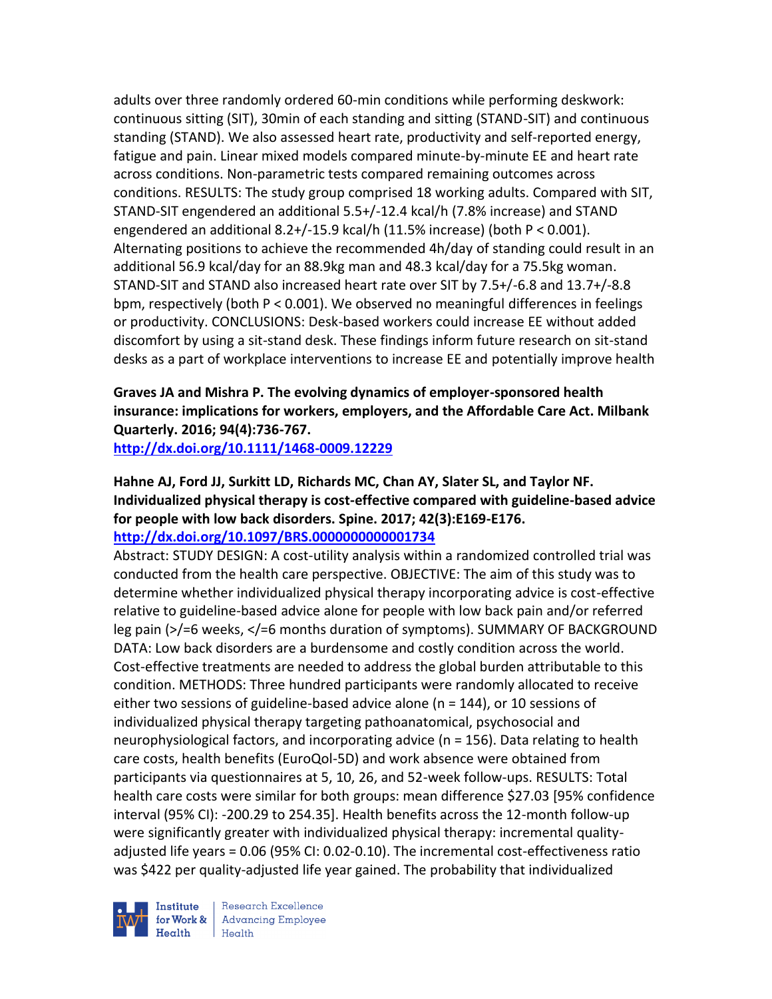adults over three randomly ordered 60-min conditions while performing deskwork: continuous sitting (SIT), 30min of each standing and sitting (STAND-SIT) and continuous standing (STAND). We also assessed heart rate, productivity and self-reported energy, fatigue and pain. Linear mixed models compared minute-by-minute EE and heart rate across conditions. Non-parametric tests compared remaining outcomes across conditions. RESULTS: The study group comprised 18 working adults. Compared with SIT, STAND-SIT engendered an additional 5.5+/-12.4 kcal/h (7.8% increase) and STAND engendered an additional 8.2+/-15.9 kcal/h (11.5% increase) (both P < 0.001). Alternating positions to achieve the recommended 4h/day of standing could result in an additional 56.9 kcal/day for an 88.9kg man and 48.3 kcal/day for a 75.5kg woman. STAND-SIT and STAND also increased heart rate over SIT by 7.5+/-6.8 and 13.7+/-8.8 bpm, respectively (both P < 0.001). We observed no meaningful differences in feelings or productivity. CONCLUSIONS: Desk-based workers could increase EE without added discomfort by using a sit-stand desk. These findings inform future research on sit-stand desks as a part of workplace interventions to increase EE and potentially improve health

# **Graves JA and Mishra P. The evolving dynamics of employer-sponsored health insurance: implications for workers, employers, and the Affordable Care Act. Milbank Quarterly. 2016; 94(4):736-767.**

**<http://dx.doi.org/10.1111/1468-0009.12229>**

### **Hahne AJ, Ford JJ, Surkitt LD, Richards MC, Chan AY, Slater SL, and Taylor NF. Individualized physical therapy is cost-effective compared with guideline-based advice for people with low back disorders. Spine. 2017; 42(3):E169-E176. <http://dx.doi.org/10.1097/BRS.0000000000001734>**

Abstract: STUDY DESIGN: A cost-utility analysis within a randomized controlled trial was conducted from the health care perspective. OBJECTIVE: The aim of this study was to determine whether individualized physical therapy incorporating advice is cost-effective relative to guideline-based advice alone for people with low back pain and/or referred leg pain (>/=6 weeks, </=6 months duration of symptoms). SUMMARY OF BACKGROUND DATA: Low back disorders are a burdensome and costly condition across the world. Cost-effective treatments are needed to address the global burden attributable to this condition. METHODS: Three hundred participants were randomly allocated to receive either two sessions of guideline-based advice alone ( $n = 144$ ), or 10 sessions of individualized physical therapy targeting pathoanatomical, psychosocial and neurophysiological factors, and incorporating advice (n = 156). Data relating to health care costs, health benefits (EuroQol-5D) and work absence were obtained from participants via questionnaires at 5, 10, 26, and 52-week follow-ups. RESULTS: Total health care costs were similar for both groups: mean difference \$27.03 [95% confidence interval (95% CI): -200.29 to 254.35]. Health benefits across the 12-month follow-up were significantly greater with individualized physical therapy: incremental qualityadjusted life years = 0.06 (95% CI: 0.02-0.10). The incremental cost-effectiveness ratio was \$422 per quality-adjusted life year gained. The probability that individualized

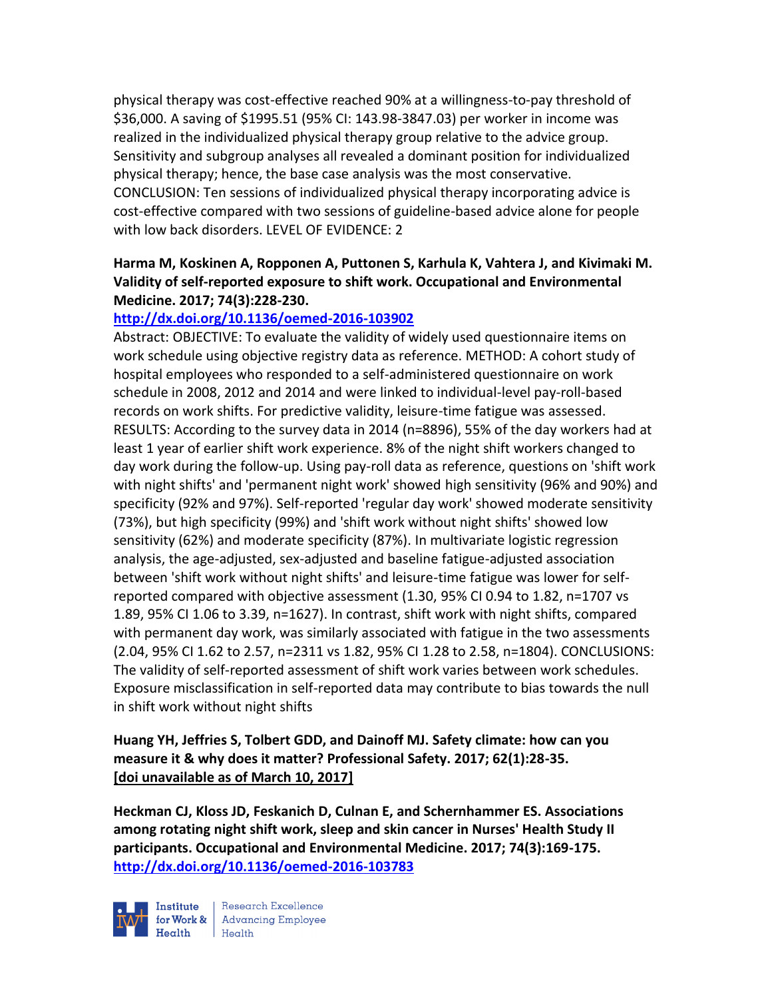physical therapy was cost-effective reached 90% at a willingness-to-pay threshold of \$36,000. A saving of \$1995.51 (95% CI: 143.98-3847.03) per worker in income was realized in the individualized physical therapy group relative to the advice group. Sensitivity and subgroup analyses all revealed a dominant position for individualized physical therapy; hence, the base case analysis was the most conservative. CONCLUSION: Ten sessions of individualized physical therapy incorporating advice is cost-effective compared with two sessions of guideline-based advice alone for people with low back disorders. LEVEL OF EVIDENCE: 2

### **Harma M, Koskinen A, Ropponen A, Puttonen S, Karhula K, Vahtera J, and Kivimaki M. Validity of self-reported exposure to shift work. Occupational and Environmental Medicine. 2017; 74(3):228-230.**

### **<http://dx.doi.org/10.1136/oemed-2016-103902>**

Abstract: OBJECTIVE: To evaluate the validity of widely used questionnaire items on work schedule using objective registry data as reference. METHOD: A cohort study of hospital employees who responded to a self-administered questionnaire on work schedule in 2008, 2012 and 2014 and were linked to individual-level pay-roll-based records on work shifts. For predictive validity, leisure-time fatigue was assessed. RESULTS: According to the survey data in 2014 (n=8896), 55% of the day workers had at least 1 year of earlier shift work experience. 8% of the night shift workers changed to day work during the follow-up. Using pay-roll data as reference, questions on 'shift work with night shifts' and 'permanent night work' showed high sensitivity (96% and 90%) and specificity (92% and 97%). Self-reported 'regular day work' showed moderate sensitivity (73%), but high specificity (99%) and 'shift work without night shifts' showed low sensitivity (62%) and moderate specificity (87%). In multivariate logistic regression analysis, the age-adjusted, sex-adjusted and baseline fatigue-adjusted association between 'shift work without night shifts' and leisure-time fatigue was lower for selfreported compared with objective assessment (1.30, 95% CI 0.94 to 1.82, n=1707 vs 1.89, 95% CI 1.06 to 3.39, n=1627). In contrast, shift work with night shifts, compared with permanent day work, was similarly associated with fatigue in the two assessments (2.04, 95% CI 1.62 to 2.57, n=2311 vs 1.82, 95% CI 1.28 to 2.58, n=1804). CONCLUSIONS: The validity of self-reported assessment of shift work varies between work schedules. Exposure misclassification in self-reported data may contribute to bias towards the null in shift work without night shifts

# **Huang YH, Jeffries S, Tolbert GDD, and Dainoff MJ. Safety climate: how can you measure it & why does it matter? Professional Safety. 2017; 62(1):28-35. [doi unavailable as of March 10, 2017]**

**Heckman CJ, Kloss JD, Feskanich D, Culnan E, and Schernhammer ES. Associations among rotating night shift work, sleep and skin cancer in Nurses' Health Study II participants. Occupational and Environmental Medicine. 2017; 74(3):169-175. <http://dx.doi.org/10.1136/oemed-2016-103783>**

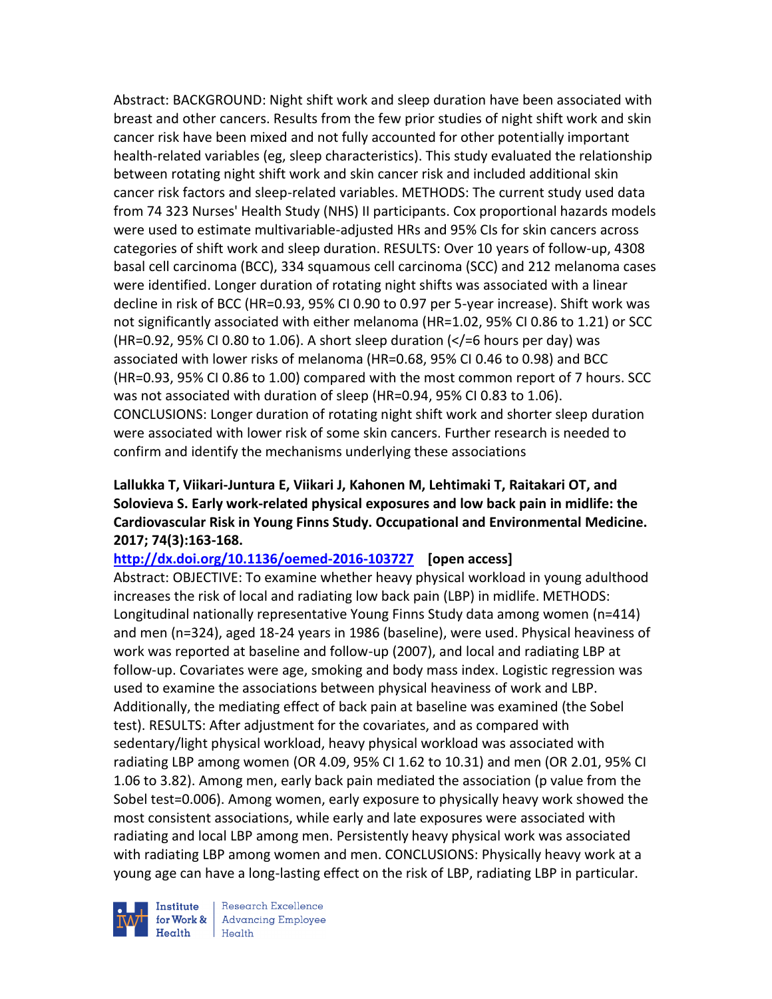Abstract: BACKGROUND: Night shift work and sleep duration have been associated with breast and other cancers. Results from the few prior studies of night shift work and skin cancer risk have been mixed and not fully accounted for other potentially important health-related variables (eg, sleep characteristics). This study evaluated the relationship between rotating night shift work and skin cancer risk and included additional skin cancer risk factors and sleep-related variables. METHODS: The current study used data from 74 323 Nurses' Health Study (NHS) II participants. Cox proportional hazards models were used to estimate multivariable-adjusted HRs and 95% CIs for skin cancers across categories of shift work and sleep duration. RESULTS: Over 10 years of follow-up, 4308 basal cell carcinoma (BCC), 334 squamous cell carcinoma (SCC) and 212 melanoma cases were identified. Longer duration of rotating night shifts was associated with a linear decline in risk of BCC (HR=0.93, 95% CI 0.90 to 0.97 per 5-year increase). Shift work was not significantly associated with either melanoma (HR=1.02, 95% CI 0.86 to 1.21) or SCC (HR=0.92, 95% CI 0.80 to 1.06). A short sleep duration  $\left\langle \times \right\rangle = 6$  hours per day) was associated with lower risks of melanoma (HR=0.68, 95% CI 0.46 to 0.98) and BCC (HR=0.93, 95% CI 0.86 to 1.00) compared with the most common report of 7 hours. SCC was not associated with duration of sleep (HR=0.94, 95% CI 0.83 to 1.06). CONCLUSIONS: Longer duration of rotating night shift work and shorter sleep duration were associated with lower risk of some skin cancers. Further research is needed to confirm and identify the mechanisms underlying these associations

## **Lallukka T, Viikari-Juntura E, Viikari J, Kahonen M, Lehtimaki T, Raitakari OT, and Solovieva S. Early work-related physical exposures and low back pain in midlife: the Cardiovascular Risk in Young Finns Study. Occupational and Environmental Medicine. 2017; 74(3):163-168.**

### **<http://dx.doi.org/10.1136/oemed-2016-103727>[open access]**

Abstract: OBJECTIVE: To examine whether heavy physical workload in young adulthood increases the risk of local and radiating low back pain (LBP) in midlife. METHODS: Longitudinal nationally representative Young Finns Study data among women (n=414) and men (n=324), aged 18-24 years in 1986 (baseline), were used. Physical heaviness of work was reported at baseline and follow-up (2007), and local and radiating LBP at follow-up. Covariates were age, smoking and body mass index. Logistic regression was used to examine the associations between physical heaviness of work and LBP. Additionally, the mediating effect of back pain at baseline was examined (the Sobel test). RESULTS: After adjustment for the covariates, and as compared with sedentary/light physical workload, heavy physical workload was associated with radiating LBP among women (OR 4.09, 95% CI 1.62 to 10.31) and men (OR 2.01, 95% CI 1.06 to 3.82). Among men, early back pain mediated the association (p value from the Sobel test=0.006). Among women, early exposure to physically heavy work showed the most consistent associations, while early and late exposures were associated with radiating and local LBP among men. Persistently heavy physical work was associated with radiating LBP among women and men. CONCLUSIONS: Physically heavy work at a young age can have a long-lasting effect on the risk of LBP, radiating LBP in particular.



Research Excellence **Advancing Employee**  $H_{\text{each}}$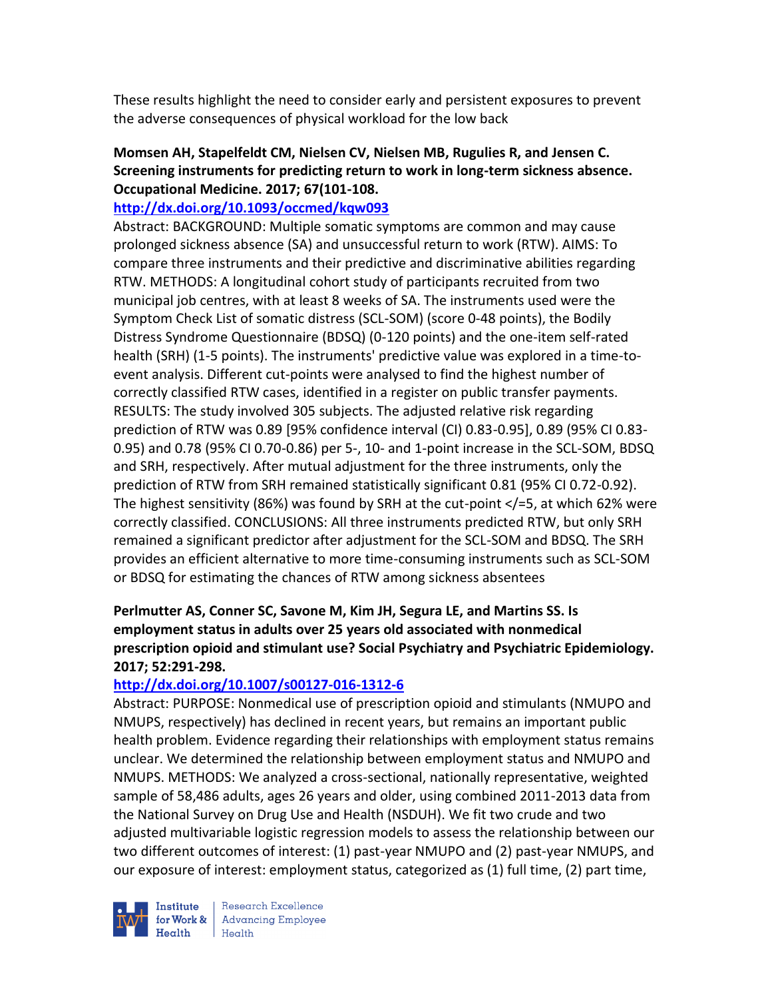These results highlight the need to consider early and persistent exposures to prevent the adverse consequences of physical workload for the low back

# **Momsen AH, Stapelfeldt CM, Nielsen CV, Nielsen MB, Rugulies R, and Jensen C. Screening instruments for predicting return to work in long-term sickness absence. Occupational Medicine. 2017; 67(101-108.**

#### **<http://dx.doi.org/10.1093/occmed/kqw093>**

Abstract: BACKGROUND: Multiple somatic symptoms are common and may cause prolonged sickness absence (SA) and unsuccessful return to work (RTW). AIMS: To compare three instruments and their predictive and discriminative abilities regarding RTW. METHODS: A longitudinal cohort study of participants recruited from two municipal job centres, with at least 8 weeks of SA. The instruments used were the Symptom Check List of somatic distress (SCL-SOM) (score 0-48 points), the Bodily Distress Syndrome Questionnaire (BDSQ) (0-120 points) and the one-item self-rated health (SRH) (1-5 points). The instruments' predictive value was explored in a time-toevent analysis. Different cut-points were analysed to find the highest number of correctly classified RTW cases, identified in a register on public transfer payments. RESULTS: The study involved 305 subjects. The adjusted relative risk regarding prediction of RTW was 0.89 [95% confidence interval (CI) 0.83-0.95], 0.89 (95% CI 0.83- 0.95) and 0.78 (95% CI 0.70-0.86) per 5-, 10- and 1-point increase in the SCL-SOM, BDSQ and SRH, respectively. After mutual adjustment for the three instruments, only the prediction of RTW from SRH remained statistically significant 0.81 (95% CI 0.72-0.92). The highest sensitivity (86%) was found by SRH at the cut-point  $\langle$  = 5, at which 62% were correctly classified. CONCLUSIONS: All three instruments predicted RTW, but only SRH remained a significant predictor after adjustment for the SCL-SOM and BDSQ. The SRH provides an efficient alternative to more time-consuming instruments such as SCL-SOM or BDSQ for estimating the chances of RTW among sickness absentees

# **Perlmutter AS, Conner SC, Savone M, Kim JH, Segura LE, and Martins SS. Is employment status in adults over 25 years old associated with nonmedical prescription opioid and stimulant use? Social Psychiatry and Psychiatric Epidemiology. 2017; 52:291-298.**

### **<http://dx.doi.org/10.1007/s00127-016-1312-6>**

Abstract: PURPOSE: Nonmedical use of prescription opioid and stimulants (NMUPO and NMUPS, respectively) has declined in recent years, but remains an important public health problem. Evidence regarding their relationships with employment status remains unclear. We determined the relationship between employment status and NMUPO and NMUPS. METHODS: We analyzed a cross-sectional, nationally representative, weighted sample of 58,486 adults, ages 26 years and older, using combined 2011-2013 data from the National Survey on Drug Use and Health (NSDUH). We fit two crude and two adjusted multivariable logistic regression models to assess the relationship between our two different outcomes of interest: (1) past-year NMUPO and (2) past-year NMUPS, and our exposure of interest: employment status, categorized as (1) full time, (2) part time,

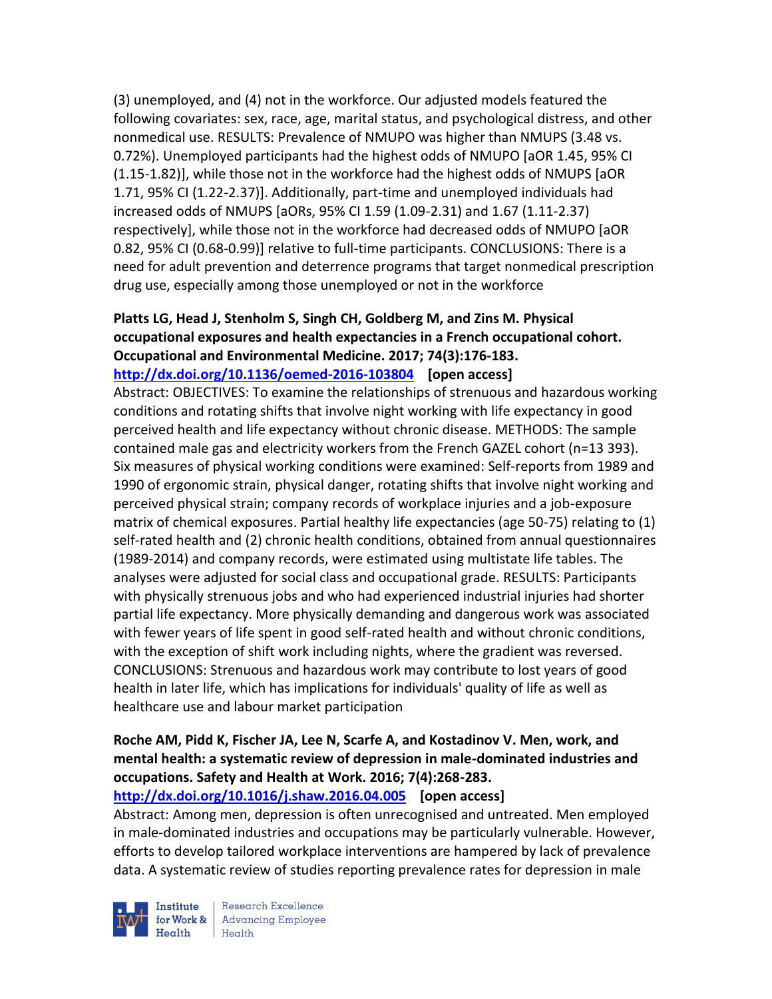(3) unemployed, and (4) not in the workforce. Our adjusted models featured the following covariates: sex, race, age, marital status, and psychological distress, and other nonmedical use. RESULTS: Prevalence of NMUPO was higher than NMUPS (3.48 vs. 0.72%). Unemployed participants had the highest odds of NMUPO [aOR 1.45, 95% CI (1.15-1.82)], while those not in the workforce had the highest odds of NMUPS [aOR 1.71, 95% CI (1.22-2.37)]. Additionally, part-time and unemployed individuals had increased odds of NMUPS [aORs, 95% CI 1.59 (1.09-2.31) and 1.67 (1.11-2.37) respectively], while those not in the workforce had decreased odds of NMUPO [aOR 0.82, 95% CI (0.68-0.99)] relative to full-time participants. CONCLUSIONS: There is a need for adult prevention and deterrence programs that target nonmedical prescription drug use, especially among those unemployed or not in the workforce

# **Platts LG, Head J, Stenholm S, Singh CH, Goldberg M, and Zins M. Physical occupational exposures and health expectancies in a French occupational cohort. Occupational and Environmental Medicine. 2017; 74(3):176-183.**

**<http://dx.doi.org/10.1136/oemed-2016-103804>[open access]**

Abstract: OBJECTIVES: To examine the relationships of strenuous and hazardous working conditions and rotating shifts that involve night working with life expectancy in good perceived health and life expectancy without chronic disease. METHODS: The sample contained male gas and electricity workers from the French GAZEL cohort (n=13 393). Six measures of physical working conditions were examined: Self-reports from 1989 and 1990 of ergonomic strain, physical danger, rotating shifts that involve night working and perceived physical strain; company records of workplace injuries and a job-exposure matrix of chemical exposures. Partial healthy life expectancies (age 50-75) relating to (1) self-rated health and (2) chronic health conditions, obtained from annual questionnaires (1989-2014) and company records, were estimated using multistate life tables. The analyses were adjusted for social class and occupational grade. RESULTS: Participants with physically strenuous jobs and who had experienced industrial injuries had shorter partial life expectancy. More physically demanding and dangerous work was associated with fewer years of life spent in good self-rated health and without chronic conditions, with the exception of shift work including nights, where the gradient was reversed. CONCLUSIONS: Strenuous and hazardous work may contribute to lost years of good health in later life, which has implications for individuals' quality of life as well as healthcare use and labour market participation

# **Roche AM, Pidd K, Fischer JA, Lee N, Scarfe A, and Kostadinov V. Men, work, and mental health: a systematic review of depression in male-dominated industries and occupations. Safety and Health at Work. 2016; 7(4):268-283.**

#### **<http://dx.doi.org/10.1016/j.shaw.2016.04.005>[open access]**

Abstract: Among men, depression is often unrecognised and untreated. Men employed in male-dominated industries and occupations may be particularly vulnerable. However, efforts to develop tailored workplace interventions are hampered by lack of prevalence data. A systematic review of studies reporting prevalence rates for depression in male

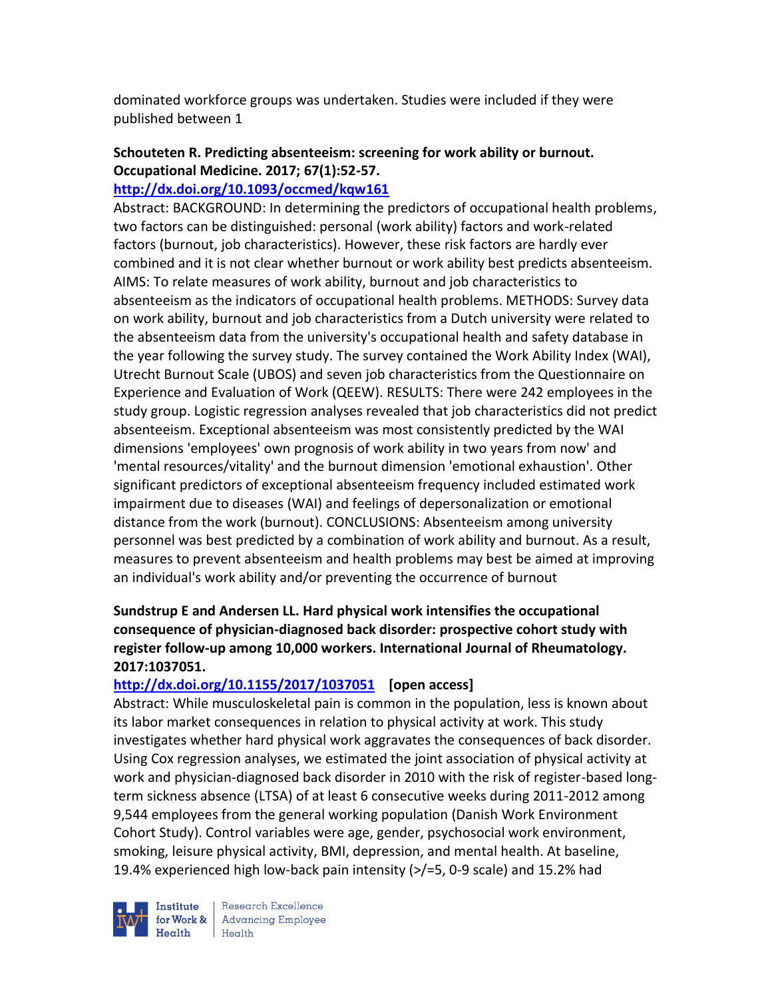dominated workforce groups was undertaken. Studies were included if they were published between 1

# **Schouteten R. Predicting absenteeism: screening for work ability or burnout. Occupational Medicine. 2017; 67(1):52-57.**

### **<http://dx.doi.org/10.1093/occmed/kqw161>**

Abstract: BACKGROUND: In determining the predictors of occupational health problems, two factors can be distinguished: personal (work ability) factors and work-related factors (burnout, job characteristics). However, these risk factors are hardly ever combined and it is not clear whether burnout or work ability best predicts absenteeism. AIMS: To relate measures of work ability, burnout and job characteristics to absenteeism as the indicators of occupational health problems. METHODS: Survey data on work ability, burnout and job characteristics from a Dutch university were related to the absenteeism data from the university's occupational health and safety database in the year following the survey study. The survey contained the Work Ability Index (WAI), Utrecht Burnout Scale (UBOS) and seven job characteristics from the Questionnaire on Experience and Evaluation of Work (QEEW). RESULTS: There were 242 employees in the study group. Logistic regression analyses revealed that job characteristics did not predict absenteeism. Exceptional absenteeism was most consistently predicted by the WAI dimensions 'employees' own prognosis of work ability in two years from now' and 'mental resources/vitality' and the burnout dimension 'emotional exhaustion'. Other significant predictors of exceptional absenteeism frequency included estimated work impairment due to diseases (WAI) and feelings of depersonalization or emotional distance from the work (burnout). CONCLUSIONS: Absenteeism among university personnel was best predicted by a combination of work ability and burnout. As a result, measures to prevent absenteeism and health problems may best be aimed at improving an individual's work ability and/or preventing the occurrence of burnout

# **Sundstrup E and Andersen LL. Hard physical work intensifies the occupational consequence of physician-diagnosed back disorder: prospective cohort study with register follow-up among 10,000 workers. International Journal of Rheumatology. 2017:1037051.**

# **<http://dx.doi.org/10.1155/2017/1037051>[open access]**

Abstract: While musculoskeletal pain is common in the population, less is known about its labor market consequences in relation to physical activity at work. This study investigates whether hard physical work aggravates the consequences of back disorder. Using Cox regression analyses, we estimated the joint association of physical activity at work and physician-diagnosed back disorder in 2010 with the risk of register-based longterm sickness absence (LTSA) of at least 6 consecutive weeks during 2011-2012 among 9,544 employees from the general working population (Danish Work Environment Cohort Study). Control variables were age, gender, psychosocial work environment, smoking, leisure physical activity, BMI, depression, and mental health. At baseline, 19.4% experienced high low-back pain intensity (>/=5, 0-9 scale) and 15.2% had